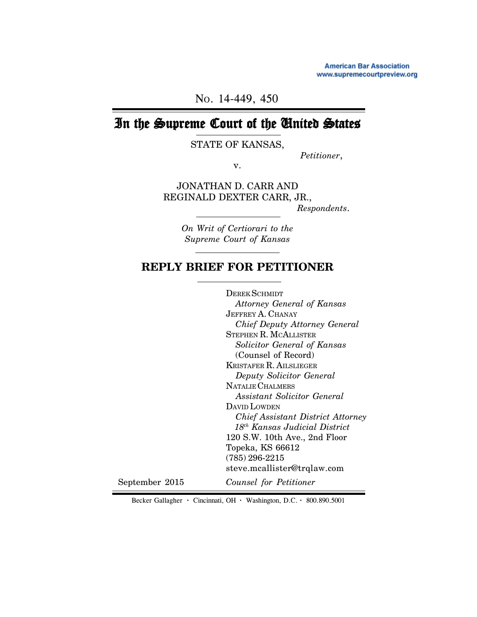**American Bar Association** www.supremecourtpreview.org

NO. 14-449, 450

# In the Supreme Court of the United States

STATE OF KANSAS,

*Petitioner*,

v.

JONATHAN D. CARR AND REGINALD DEXTER CARR, JR.,

*Respondents*.

*On Writ of Certiorari to the Supreme Court of Kansas*

## **REPLY BRIEF FOR PETITIONER**

DEREK SCHMIDT  *Attorney General of Kansas* JEFFREY A. CHANAY *Chief Deputy Attorney General* STEPHEN R. MCALLISTER  *Solicitor General of Kansas* (Counsel of Record) KRISTAFER R. AILSLIEGER  *Deputy Solicitor General* NATALIE CHALMERS  *Assistant Solicitor General* DAVID LOWDEN  *Chief Assistant District Attorney 18th Kansas Judicial District* 120 S.W. 10th Ave., 2nd Floor Topeka, KS 66612 (785) 296-2215 steve.mcallister@trqlaw.com *Counsel for Petitioner* September 2015

Becker Gallagher **·** Cincinnati, OH **·** Washington, D.C. **·** 800.890.5001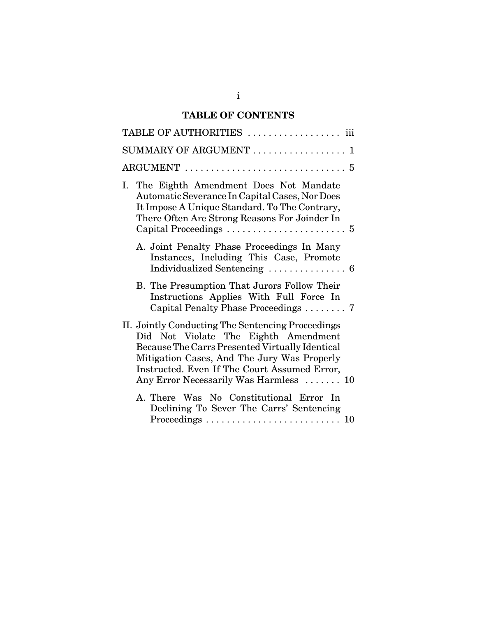## **TABLE OF CONTENTS**

| TABLE OF AUTHORITIES  iii                                                                                                                                                                                                                                                             |
|---------------------------------------------------------------------------------------------------------------------------------------------------------------------------------------------------------------------------------------------------------------------------------------|
| SUMMARY OF ARGUMENT<br>$\mathbf{1}$                                                                                                                                                                                                                                                   |
| $\text{ARGUMENT}\ \dots\dots\dots\dots\dots\dots\dots\dots\dots\dots \ 5$                                                                                                                                                                                                             |
| I. The Eighth Amendment Does Not Mandate<br>Automatic Severance In Capital Cases, Nor Does<br>It Impose A Unique Standard. To The Contrary,<br>There Often Are Strong Reasons For Joinder In<br>Capital Proceedings $\dots \dots \dots \dots \dots \dots \dots$                       |
| A. Joint Penalty Phase Proceedings In Many<br>Instances, Including This Case, Promote                                                                                                                                                                                                 |
| B. The Presumption That Jurors Follow Their<br>Instructions Applies With Full Force In<br>Capital Penalty Phase Proceedings  7                                                                                                                                                        |
| II. Jointly Conducting The Sentencing Proceedings<br>Did Not Violate The Eighth Amendment<br>Because The Carrs Presented Virtually Identical<br>Mitigation Cases, And The Jury Was Properly<br>Instructed. Even If The Court Assumed Error,<br>Any Error Necessarily Was Harmless  10 |
| A. There Was No Constitutional Error In<br>Declining To Sever The Carrs' Sentencing                                                                                                                                                                                                   |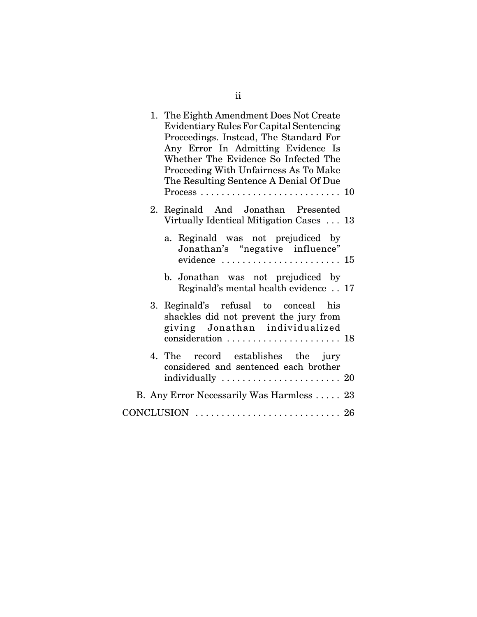| 1. The Eighth Amendment Does Not Create<br>Evidentiary Rules For Capital Sentencing<br>Proceedings. Instead, The Standard For<br>Any Error In Admitting Evidence Is<br>Whether The Evidence So Infected The<br>Proceeding With Unfairness As To Make<br>The Resulting Sentence A Denial Of Due<br>$Process \ldots \ldots \ldots \ldots \ldots \ldots \ldots \ldots \ldots 10$ |  |
|-------------------------------------------------------------------------------------------------------------------------------------------------------------------------------------------------------------------------------------------------------------------------------------------------------------------------------------------------------------------------------|--|
| 2. Reginald And Jonathan Presented                                                                                                                                                                                                                                                                                                                                            |  |
| Virtually Identical Mitigation Cases  13                                                                                                                                                                                                                                                                                                                                      |  |
| a. Reginald was not prejudiced by<br>Jonathan's "negative influence"                                                                                                                                                                                                                                                                                                          |  |
| evidence $\ldots \ldots \ldots \ldots \ldots \ldots \ldots 15$                                                                                                                                                                                                                                                                                                                |  |
| b. Jonathan was not prejudiced by<br>Reginald's mental health evidence . 17                                                                                                                                                                                                                                                                                                   |  |
| 3. Reginald's refusal to conceal his<br>shackles did not prevent the jury from<br>giving Jonathan individualized                                                                                                                                                                                                                                                              |  |
|                                                                                                                                                                                                                                                                                                                                                                               |  |
| 4. The record establishes the jury<br>considered and sentenced each brother                                                                                                                                                                                                                                                                                                   |  |
|                                                                                                                                                                                                                                                                                                                                                                               |  |
| B. Any Error Necessarily Was Harmless  23                                                                                                                                                                                                                                                                                                                                     |  |
|                                                                                                                                                                                                                                                                                                                                                                               |  |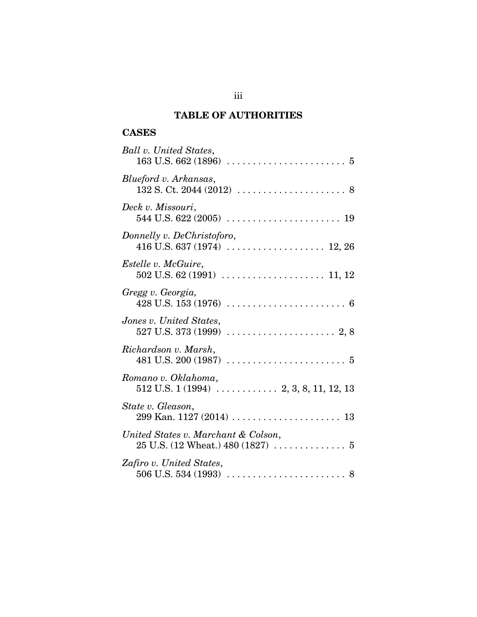## **TABLE OF AUTHORITIES**

## **CASES**

| Ball v. United States,<br>$163 \text{ U.S. } 662 \, (1896) \, \ldots \ldots \ldots \ldots \ldots \ldots \ldots \, 5$ |
|----------------------------------------------------------------------------------------------------------------------|
| Blueford v. Arkansas,                                                                                                |
| Deck v. Missouri,                                                                                                    |
| Donnelly v. DeChristoforo,                                                                                           |
| <i>Estelle v. McGuire,</i>                                                                                           |
| Gregg v. Georgia,                                                                                                    |
| Jones v. United States,                                                                                              |
| Richardson v. Marsh,                                                                                                 |
| Romano v. Oklahoma,                                                                                                  |
| State v. Gleason,                                                                                                    |
| United States v. Marchant & Colson,<br>$25$ U.S. $(12 \text{ Wheat.}) 480 (1827) \dots \dots \dots \dots 5$          |
| Zafiro v. United States,                                                                                             |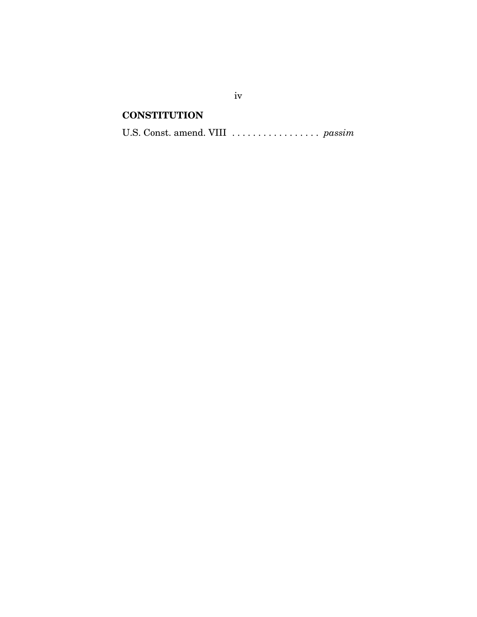## **CONSTITUTION**

U.S. Const. amend. VIII ................. *passim*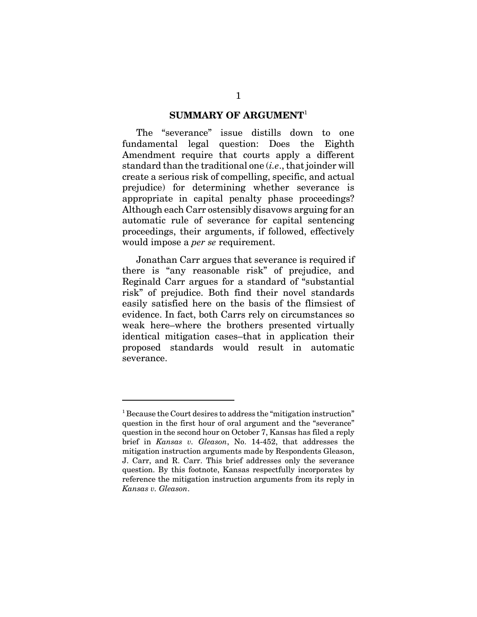#### **SUMMARY OF ARGUMENT**<sup>1</sup>

The "severance" issue distills down to one fundamental legal question: Does the Eighth Amendment require that courts apply a different standard than the traditional one (*i.e*., that joinder will create a serious risk of compelling, specific, and actual prejudice) for determining whether severance is appropriate in capital penalty phase proceedings? Although each Carr ostensibly disavows arguing for an automatic rule of severance for capital sentencing proceedings, their arguments, if followed, effectively would impose a *per se* requirement.

Jonathan Carr argues that severance is required if there is "any reasonable risk" of prejudice, and Reginald Carr argues for a standard of "substantial risk" of prejudice. Both find their novel standards easily satisfied here on the basis of the flimsiest of evidence. In fact, both Carrs rely on circumstances so weak here–where the brothers presented virtually identical mitigation cases–that in application their proposed standards would result in automatic severance.

<sup>&</sup>lt;sup>1</sup> Because the Court desires to address the "mitigation instruction" question in the first hour of oral argument and the "severance" question in the second hour on October 7, Kansas has filed a reply brief in *Kansas v. Gleason*, No. 14-452, that addresses the mitigation instruction arguments made by Respondents Gleason, J. Carr, and R. Carr. This brief addresses only the severance question. By this footnote, Kansas respectfully incorporates by reference the mitigation instruction arguments from its reply in *Kansas v. Gleason*.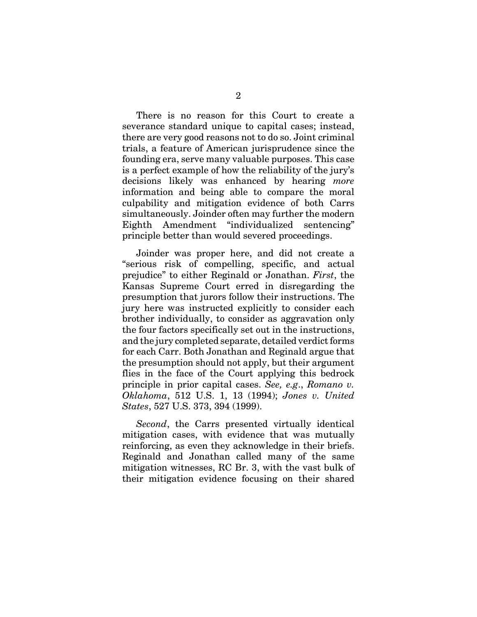There is no reason for this Court to create a severance standard unique to capital cases; instead, there are very good reasons not to do so. Joint criminal trials, a feature of American jurisprudence since the founding era, serve many valuable purposes. This case is a perfect example of how the reliability of the jury's decisions likely was enhanced by hearing *more* information and being able to compare the moral culpability and mitigation evidence of both Carrs simultaneously. Joinder often may further the modern Eighth Amendment "individualized sentencing" principle better than would severed proceedings.

Joinder was proper here, and did not create a "serious risk of compelling, specific, and actual prejudice" to either Reginald or Jonathan. *First*, the Kansas Supreme Court erred in disregarding the presumption that jurors follow their instructions. The jury here was instructed explicitly to consider each brother individually, to consider as aggravation only the four factors specifically set out in the instructions, and the jury completed separate, detailed verdict forms for each Carr. Both Jonathan and Reginald argue that the presumption should not apply, but their argument flies in the face of the Court applying this bedrock principle in prior capital cases. *See, e.g*., *Romano v. Oklahoma*, 512 U.S. 1, 13 (1994); *Jones v. United States*, 527 U.S. 373, 394 (1999).

*Second*, the Carrs presented virtually identical mitigation cases, with evidence that was mutually reinforcing, as even they acknowledge in their briefs. Reginald and Jonathan called many of the same mitigation witnesses, RC Br. 3, with the vast bulk of their mitigation evidence focusing on their shared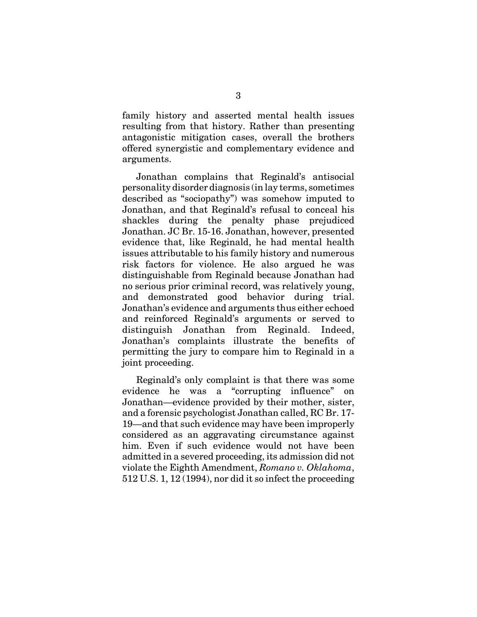family history and asserted mental health issues resulting from that history. Rather than presenting antagonistic mitigation cases, overall the brothers offered synergistic and complementary evidence and arguments.

Jonathan complains that Reginald's antisocial personality disorder diagnosis (in lay terms, sometimes described as "sociopathy") was somehow imputed to Jonathan, and that Reginald's refusal to conceal his shackles during the penalty phase prejudiced Jonathan. JC Br. 15-16. Jonathan, however, presented evidence that, like Reginald, he had mental health issues attributable to his family history and numerous risk factors for violence. He also argued he was distinguishable from Reginald because Jonathan had no serious prior criminal record, was relatively young, and demonstrated good behavior during trial. Jonathan's evidence and arguments thus either echoed and reinforced Reginald's arguments or served to distinguish Jonathan from Reginald. Indeed, Jonathan's complaints illustrate the benefits of permitting the jury to compare him to Reginald in a joint proceeding.

Reginald's only complaint is that there was some evidence he was a "corrupting influence" on Jonathan—evidence provided by their mother, sister, and a forensic psychologist Jonathan called, RC Br. 17- 19—and that such evidence may have been improperly considered as an aggravating circumstance against him. Even if such evidence would not have been admitted in a severed proceeding, its admission did not violate the Eighth Amendment, *Romano v. Oklahoma*, 512 U.S. 1, 12 (1994), nor did it so infect the proceeding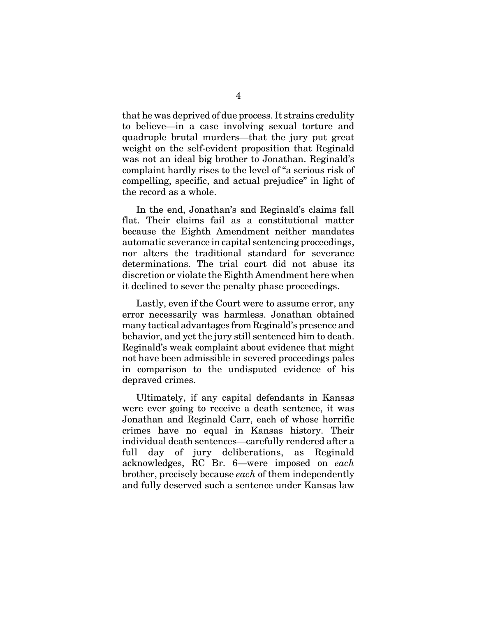that he was deprived of due process. It strains credulity to believe—in a case involving sexual torture and quadruple brutal murders—that the jury put great weight on the self-evident proposition that Reginald was not an ideal big brother to Jonathan. Reginald's complaint hardly rises to the level of "a serious risk of compelling, specific, and actual prejudice" in light of the record as a whole.

In the end, Jonathan's and Reginald's claims fall flat. Their claims fail as a constitutional matter because the Eighth Amendment neither mandates automatic severance in capital sentencing proceedings, nor alters the traditional standard for severance determinations. The trial court did not abuse its discretion or violate the Eighth Amendment here when it declined to sever the penalty phase proceedings.

Lastly, even if the Court were to assume error, any error necessarily was harmless. Jonathan obtained many tactical advantages from Reginald's presence and behavior, and yet the jury still sentenced him to death. Reginald's weak complaint about evidence that might not have been admissible in severed proceedings pales in comparison to the undisputed evidence of his depraved crimes.

Ultimately, if any capital defendants in Kansas were ever going to receive a death sentence, it was Jonathan and Reginald Carr, each of whose horrific crimes have no equal in Kansas history. Their individual death sentences—carefully rendered after a full day of jury deliberations, as Reginald acknowledges, RC Br. 6—were imposed on *each* brother, precisely because *each* of them independently and fully deserved such a sentence under Kansas law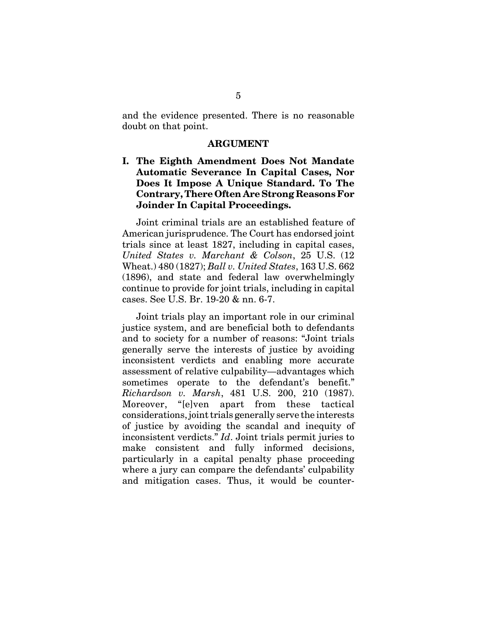and the evidence presented. There is no reasonable doubt on that point.

#### **ARGUMENT**

## **I. The Eighth Amendment Does Not Mandate Automatic Severance In Capital Cases, Nor Does It Impose A Unique Standard. To The Contrary, There Often Are Strong Reasons For Joinder In Capital Proceedings.**

Joint criminal trials are an established feature of American jurisprudence. The Court has endorsed joint trials since at least 1827, including in capital cases, *United States v. Marchant & Colson*, 25 U.S. (12 Wheat.) 480 (1827); *Ball v. United States*, 163 U.S. 662 (1896), and state and federal law overwhelmingly continue to provide for joint trials, including in capital cases. See U.S. Br. 19-20 & nn. 6-7.

Joint trials play an important role in our criminal justice system, and are beneficial both to defendants and to society for a number of reasons: "Joint trials generally serve the interests of justice by avoiding inconsistent verdicts and enabling more accurate assessment of relative culpability—advantages which sometimes operate to the defendant's benefit." *Richardson v. Marsh*, 481 U.S. 200, 210 (1987). Moreover, "[e]ven apart from these tactical considerations, joint trials generally serve the interests of justice by avoiding the scandal and inequity of inconsistent verdicts." *Id*. Joint trials permit juries to make consistent and fully informed decisions, particularly in a capital penalty phase proceeding where a jury can compare the defendants' culpability and mitigation cases. Thus, it would be counter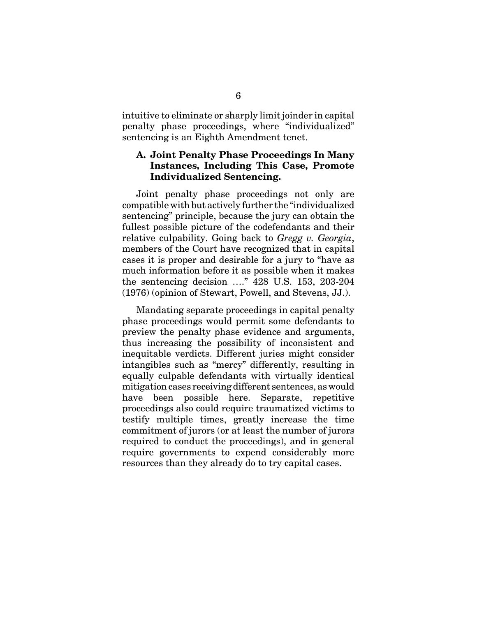intuitive to eliminate or sharply limit joinder in capital penalty phase proceedings, where "individualized" sentencing is an Eighth Amendment tenet.

### **A. Joint Penalty Phase Proceedings In Many Instances, Including This Case, Promote Individualized Sentencing.**

Joint penalty phase proceedings not only are compatible with but actively further the "individualized sentencing" principle, because the jury can obtain the fullest possible picture of the codefendants and their relative culpability. Going back to *Gregg v. Georgia*, members of the Court have recognized that in capital cases it is proper and desirable for a jury to "have as much information before it as possible when it makes the sentencing decision …." 428 U.S. 153, 203-204 (1976) (opinion of Stewart, Powell, and Stevens, JJ.).

Mandating separate proceedings in capital penalty phase proceedings would permit some defendants to preview the penalty phase evidence and arguments, thus increasing the possibility of inconsistent and inequitable verdicts. Different juries might consider intangibles such as "mercy" differently, resulting in equally culpable defendants with virtually identical mitigation cases receiving different sentences, as would have been possible here. Separate, repetitive proceedings also could require traumatized victims to testify multiple times, greatly increase the time commitment of jurors (or at least the number of jurors required to conduct the proceedings), and in general require governments to expend considerably more resources than they already do to try capital cases.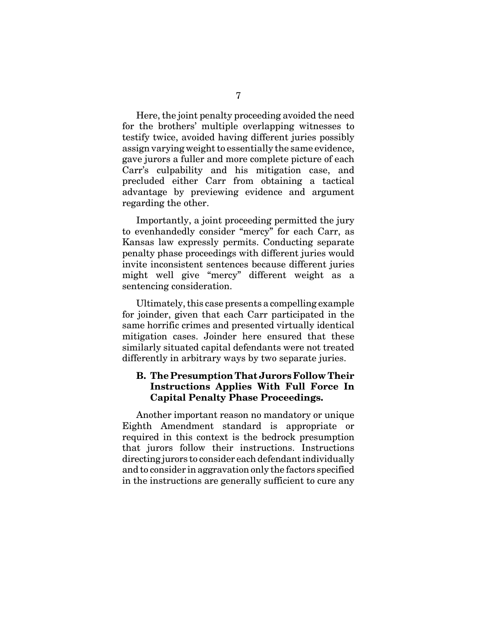Here, the joint penalty proceeding avoided the need for the brothers' multiple overlapping witnesses to testify twice, avoided having different juries possibly assign varying weight to essentially the same evidence, gave jurors a fuller and more complete picture of each Carr's culpability and his mitigation case, and precluded either Carr from obtaining a tactical advantage by previewing evidence and argument regarding the other.

Importantly, a joint proceeding permitted the jury to evenhandedly consider "mercy" for each Carr, as Kansas law expressly permits. Conducting separate penalty phase proceedings with different juries would invite inconsistent sentences because different juries might well give "mercy" different weight as a sentencing consideration.

Ultimately, this case presents a compelling example for joinder, given that each Carr participated in the same horrific crimes and presented virtually identical mitigation cases. Joinder here ensured that these similarly situated capital defendants were not treated differently in arbitrary ways by two separate juries.

## **B. The Presumption That Jurors Follow Their Instructions Applies With Full Force In Capital Penalty Phase Proceedings.**

Another important reason no mandatory or unique Eighth Amendment standard is appropriate or required in this context is the bedrock presumption that jurors follow their instructions. Instructions directing jurors to consider each defendant individually and to consider in aggravation only the factors specified in the instructions are generally sufficient to cure any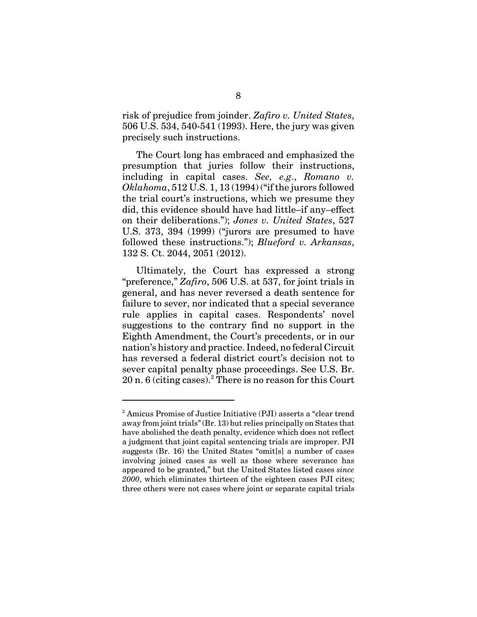risk of prejudice from joinder. *Zafiro v. United States*, 506 U.S. 534, 540-541 (1993). Here, the jury was given precisely such instructions.

The Court long has embraced and emphasized the presumption that juries follow their instructions, including in capital cases. *See, e.g*., *Romano v. Oklahoma*, 512 U.S. 1, 13 (1994) ("if the jurors followed the trial court's instructions, which we presume they did, this evidence should have had little–if any–effect on their deliberations."); *Jones v. United States*, 527 U.S. 373, 394 (1999) ("jurors are presumed to have followed these instructions."); *Blueford v. Arkansas*, 132 S. Ct. 2044, 2051 (2012).

Ultimately, the Court has expressed a strong "preference," *Zafiro*, 506 U.S. at 537, for joint trials in general, and has never reversed a death sentence for failure to sever, nor indicated that a special severance rule applies in capital cases. Respondents' novel suggestions to the contrary find no support in the Eighth Amendment, the Court's precedents, or in our nation's history and practice. Indeed, no federal Circuit has reversed a federal district court's decision not to sever capital penalty phase proceedings. See U.S. Br. 20 n. 6 (citing cases).<sup>2</sup> There is no reason for this Court

<sup>&</sup>lt;sup>2</sup> Amicus Promise of Justice Initiative (PJI) asserts a "clear trend away from joint trials" (Br. 13) but relies principally on States that have abolished the death penalty, evidence which does not reflect a judgment that joint capital sentencing trials are improper. PJI suggests (Br. 16) the United States "omit[s] a number of cases involving joined cases as well as those where severance has appeared to be granted," but the United States listed cases *since 2000*, which eliminates thirteen of the eighteen cases PJI cites; three others were not cases where joint or separate capital trials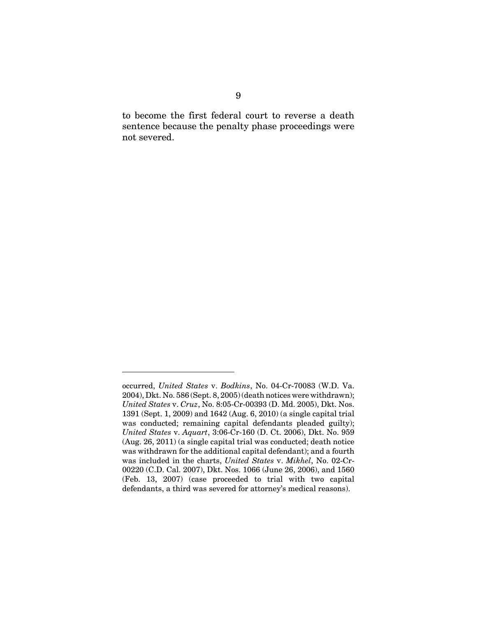to become the first federal court to reverse a death sentence because the penalty phase proceedings were not severed.

occurred, *United States* v. *Bodkins*, No. 04-Cr-70083 (W.D. Va. 2004), Dkt. No. 586 (Sept. 8, 2005) (death notices were withdrawn); *United States* v. *Cruz*, No. 8:05-Cr-00393 (D. Md. 2005), Dkt. Nos. 1391 (Sept. 1, 2009) and 1642 (Aug. 6, 2010) (a single capital trial was conducted; remaining capital defendants pleaded guilty); *United States* v. *Aquart*, 3:06-Cr-160 (D. Ct. 2006), Dkt. No. 959 (Aug. 26, 2011) (a single capital trial was conducted; death notice was withdrawn for the additional capital defendant); and a fourth was included in the charts, *United States* v. *Mikhel*, No. 02-Cr-00220 (C.D. Cal. 2007), Dkt. Nos. 1066 (June 26, 2006), and 1560 (Feb. 13, 2007) (case proceeded to trial with two capital defendants, a third was severed for attorney's medical reasons).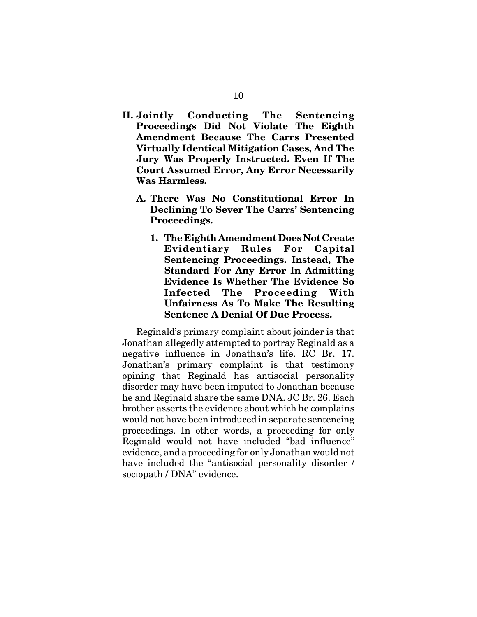- **II. Jointly Conducting The Sentencing Proceedings Did Not Violate The Eighth Amendment Because The Carrs Presented Virtually Identical Mitigation Cases, And The Jury Was Properly Instructed. Even If The Court Assumed Error, Any Error Necessarily Was Harmless.**
	- **A. There Was No Constitutional Error In Declining To Sever The Carrs' Sentencing Proceedings.**
		- **1. The Eighth Amendment Does Not Create Evidentiary Rules For Capital Sentencing Proceedings. Instead, The Standard For Any Error In Admitting Evidence Is Whether The Evidence So Infected The Proceeding With Unfairness As To Make The Resulting Sentence A Denial Of Due Process.**

Reginald's primary complaint about joinder is that Jonathan allegedly attempted to portray Reginald as a negative influence in Jonathan's life. RC Br. 17. Jonathan's primary complaint is that testimony opining that Reginald has antisocial personality disorder may have been imputed to Jonathan because he and Reginald share the same DNA. JC Br. 26. Each brother asserts the evidence about which he complains would not have been introduced in separate sentencing proceedings. In other words, a proceeding for only Reginald would not have included "bad influence" evidence, and a proceeding for only Jonathan would not have included the "antisocial personality disorder / sociopath / DNA" evidence.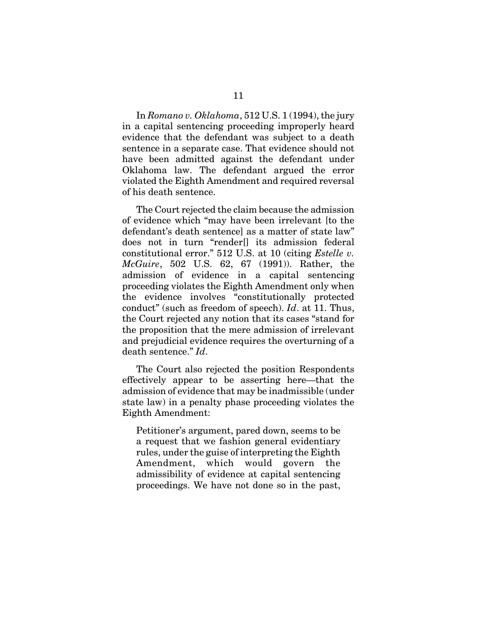In *Romano v. Oklahoma*, 512 U.S. 1 (1994), the jury in a capital sentencing proceeding improperly heard evidence that the defendant was subject to a death sentence in a separate case. That evidence should not have been admitted against the defendant under Oklahoma law. The defendant argued the error violated the Eighth Amendment and required reversal of his death sentence.

The Court rejected the claim because the admission of evidence which "may have been irrelevant [to the defendant's death sentence] as a matter of state law" does not in turn "render[] its admission federal constitutional error." 512 U.S. at 10 (citing *Estelle v. McGuire*, 502 U.S. 62, 67 (1991)). Rather, the admission of evidence in a capital sentencing proceeding violates the Eighth Amendment only when the evidence involves "constitutionally protected conduct" (such as freedom of speech). *Id*. at 11. Thus, the Court rejected any notion that its cases "stand for the proposition that the mere admission of irrelevant and prejudicial evidence requires the overturning of a death sentence." *Id*.

The Court also rejected the position Respondents effectively appear to be asserting here—that the admission of evidence that may be inadmissible (under state law) in a penalty phase proceeding violates the Eighth Amendment:

Petitioner's argument, pared down, seems to be a request that we fashion general evidentiary rules, under the guise of interpreting the Eighth Amendment, which would govern the admissibility of evidence at capital sentencing proceedings. We have not done so in the past,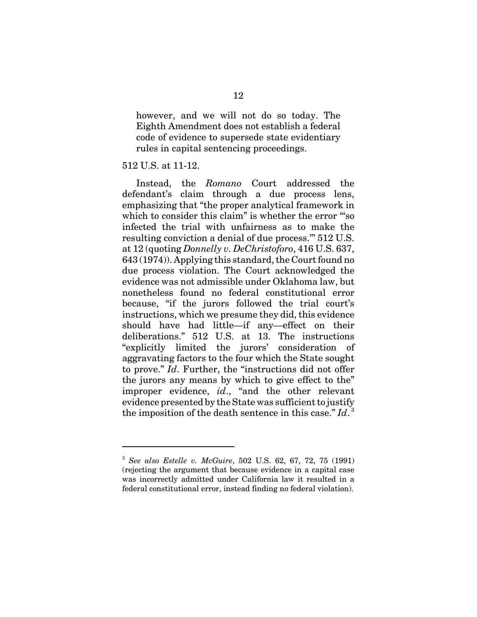however, and we will not do so today. The Eighth Amendment does not establish a federal code of evidence to supersede state evidentiary rules in capital sentencing proceedings.

#### 512 U.S. at 11-12.

Instead, the *Romano* Court addressed the defendant's claim through a due process lens, emphasizing that "the proper analytical framework in which to consider this claim" is whether the error "so infected the trial with unfairness as to make the resulting conviction a denial of due process.'" 512 U.S. at 12 (quoting *Donnelly v. DeChristoforo*, 416 U.S. 637, 643 (1974)). Applying this standard, the Court found no due process violation. The Court acknowledged the evidence was not admissible under Oklahoma law, but nonetheless found no federal constitutional error because, "if the jurors followed the trial court's instructions, which we presume they did, this evidence should have had little—if any—effect on their deliberations." 512 U.S. at 13. The instructions "explicitly limited the jurors' consideration of aggravating factors to the four which the State sought to prove." *Id*. Further, the "instructions did not offer the jurors any means by which to give effect to the" improper evidence, *id*., "and the other relevant evidence presented by the State was sufficient to justify the imposition of the death sentence in this case."  $Id.$ <sup>3</sup>

<sup>3</sup> *See also Estelle v. McGuire*, 502 U.S. 62, 67, 72, 75 (1991) (rejecting the argument that because evidence in a capital case was incorrectly admitted under California law it resulted in a federal constitutional error, instead finding no federal violation).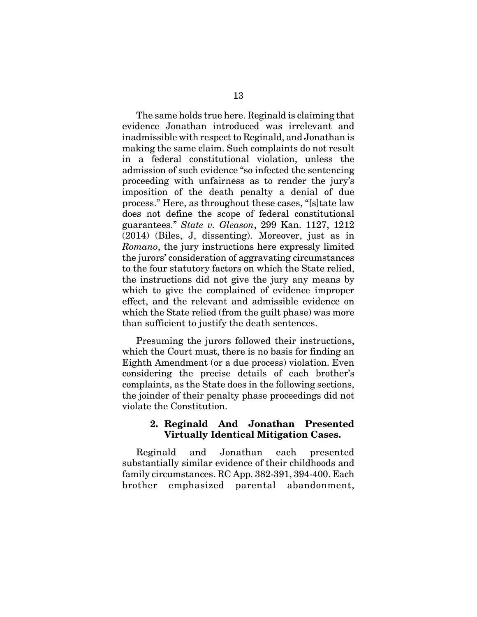The same holds true here. Reginald is claiming that evidence Jonathan introduced was irrelevant and inadmissible with respect to Reginald, and Jonathan is making the same claim. Such complaints do not result in a federal constitutional violation, unless the admission of such evidence "so infected the sentencing proceeding with unfairness as to render the jury's imposition of the death penalty a denial of due process." Here, as throughout these cases, "[s]tate law does not define the scope of federal constitutional guarantees." *State v. Gleason*, 299 Kan. 1127, 1212 (2014) (Biles, J, dissenting). Moreover, just as in *Romano*, the jury instructions here expressly limited the jurors' consideration of aggravating circumstances to the four statutory factors on which the State relied, the instructions did not give the jury any means by which to give the complained of evidence improper effect, and the relevant and admissible evidence on which the State relied (from the guilt phase) was more than sufficient to justify the death sentences.

Presuming the jurors followed their instructions, which the Court must, there is no basis for finding an Eighth Amendment (or a due process) violation. Even considering the precise details of each brother's complaints, as the State does in the following sections, the joinder of their penalty phase proceedings did not violate the Constitution.

### **2. Reginald And Jonathan Presented Virtually Identical Mitigation Cases.**

Reginald and Jonathan each presented substantially similar evidence of their childhoods and family circumstances. RC App. 382-391, 394-400. Each brother emphasized parental abandonment,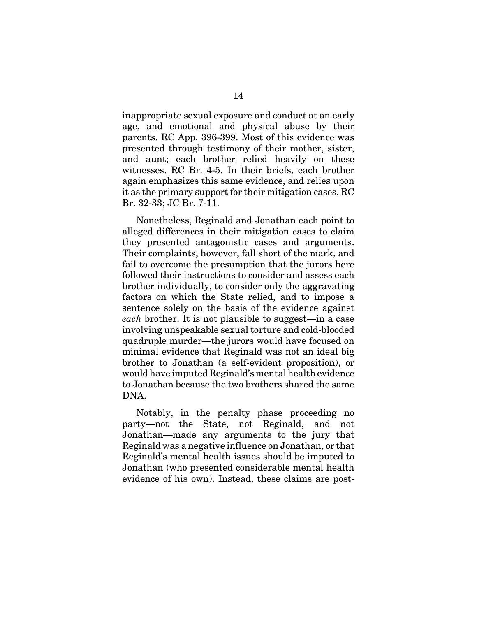inappropriate sexual exposure and conduct at an early age, and emotional and physical abuse by their parents. RC App. 396-399. Most of this evidence was presented through testimony of their mother, sister, and aunt; each brother relied heavily on these witnesses. RC Br. 4-5. In their briefs, each brother again emphasizes this same evidence, and relies upon it as the primary support for their mitigation cases. RC Br. 32-33; JC Br. 7-11.

Nonetheless, Reginald and Jonathan each point to alleged differences in their mitigation cases to claim they presented antagonistic cases and arguments. Their complaints, however, fall short of the mark, and fail to overcome the presumption that the jurors here followed their instructions to consider and assess each brother individually, to consider only the aggravating factors on which the State relied, and to impose a sentence solely on the basis of the evidence against *each* brother. It is not plausible to suggest—in a case involving unspeakable sexual torture and cold-blooded quadruple murder—the jurors would have focused on minimal evidence that Reginald was not an ideal big brother to Jonathan (a self-evident proposition), or would have imputed Reginald's mental health evidence to Jonathan because the two brothers shared the same DNA.

Notably, in the penalty phase proceeding no party—not the State, not Reginald, and not Jonathan—made any arguments to the jury that Reginald was a negative influence on Jonathan, or that Reginald's mental health issues should be imputed to Jonathan (who presented considerable mental health evidence of his own). Instead, these claims are post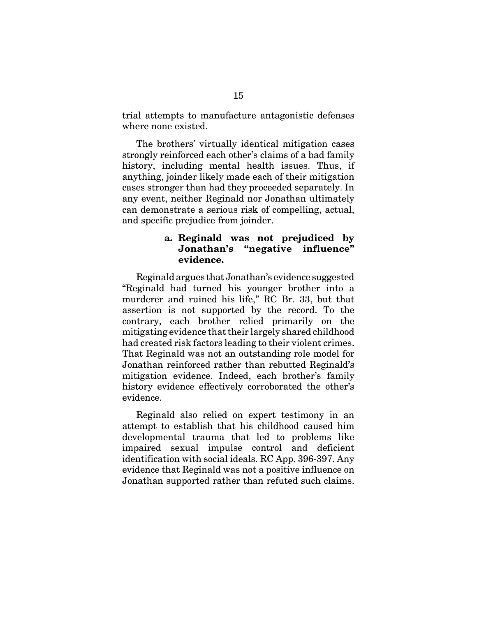trial attempts to manufacture antagonistic defenses where none existed.

The brothers' virtually identical mitigation cases strongly reinforced each other's claims of a bad family history, including mental health issues. Thus, if anything, joinder likely made each of their mitigation cases stronger than had they proceeded separately. In any event, neither Reginald nor Jonathan ultimately can demonstrate a serious risk of compelling, actual, and specific prejudice from joinder.

### **a. Reginald was not prejudiced by Jonathan's "negative influence" evidence.**

Reginald argues that Jonathan's evidence suggested "Reginald had turned his younger brother into a murderer and ruined his life," RC Br. 33, but that assertion is not supported by the record. To the contrary, each brother relied primarily on the mitigating evidence that their largely shared childhood had created risk factors leading to their violent crimes. That Reginald was not an outstanding role model for Jonathan reinforced rather than rebutted Reginald's mitigation evidence. Indeed, each brother's family history evidence effectively corroborated the other's evidence.

Reginald also relied on expert testimony in an attempt to establish that his childhood caused him developmental trauma that led to problems like impaired sexual impulse control and deficient identification with social ideals. RC App. 396-397. Any evidence that Reginald was not a positive influence on Jonathan supported rather than refuted such claims.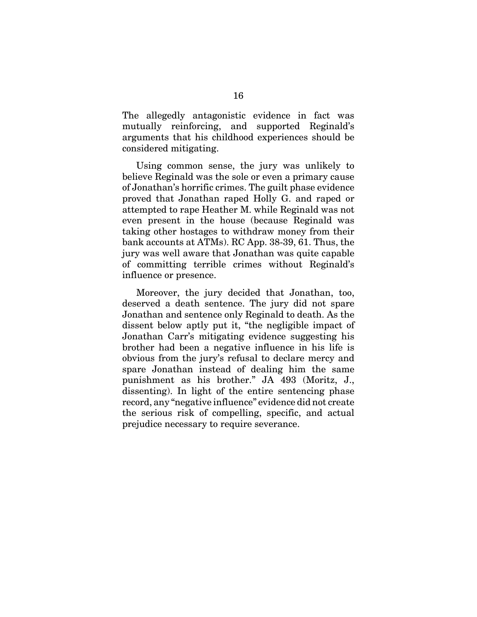The allegedly antagonistic evidence in fact was mutually reinforcing, and supported Reginald's arguments that his childhood experiences should be considered mitigating.

Using common sense, the jury was unlikely to believe Reginald was the sole or even a primary cause of Jonathan's horrific crimes. The guilt phase evidence proved that Jonathan raped Holly G. and raped or attempted to rape Heather M. while Reginald was not even present in the house (because Reginald was taking other hostages to withdraw money from their bank accounts at ATMs). RC App. 38-39, 61. Thus, the jury was well aware that Jonathan was quite capable of committing terrible crimes without Reginald's influence or presence.

Moreover, the jury decided that Jonathan, too, deserved a death sentence. The jury did not spare Jonathan and sentence only Reginald to death. As the dissent below aptly put it, "the negligible impact of Jonathan Carr's mitigating evidence suggesting his brother had been a negative influence in his life is obvious from the jury's refusal to declare mercy and spare Jonathan instead of dealing him the same punishment as his brother." JA 493 (Moritz, J., dissenting). In light of the entire sentencing phase record, any "negative influence" evidence did not create the serious risk of compelling, specific, and actual prejudice necessary to require severance.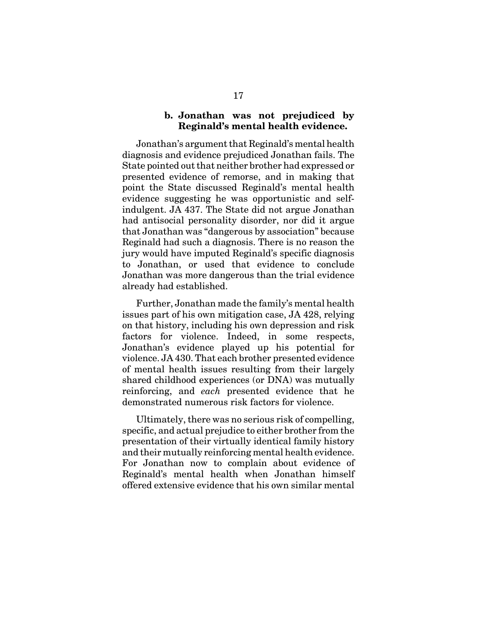### **b. Jonathan was not prejudiced by Reginald's mental health evidence.**

Jonathan's argument that Reginald's mental health diagnosis and evidence prejudiced Jonathan fails. The State pointed out that neither brother had expressed or presented evidence of remorse, and in making that point the State discussed Reginald's mental health evidence suggesting he was opportunistic and selfindulgent. JA 437. The State did not argue Jonathan had antisocial personality disorder, nor did it argue that Jonathan was "dangerous by association" because Reginald had such a diagnosis. There is no reason the jury would have imputed Reginald's specific diagnosis to Jonathan, or used that evidence to conclude Jonathan was more dangerous than the trial evidence already had established.

Further, Jonathan made the family's mental health issues part of his own mitigation case, JA 428, relying on that history, including his own depression and risk factors for violence. Indeed, in some respects, Jonathan's evidence played up his potential for violence. JA 430. That each brother presented evidence of mental health issues resulting from their largely shared childhood experiences (or DNA) was mutually reinforcing, and *each* presented evidence that he demonstrated numerous risk factors for violence.

Ultimately, there was no serious risk of compelling, specific, and actual prejudice to either brother from the presentation of their virtually identical family history and their mutually reinforcing mental health evidence. For Jonathan now to complain about evidence of Reginald's mental health when Jonathan himself offered extensive evidence that his own similar mental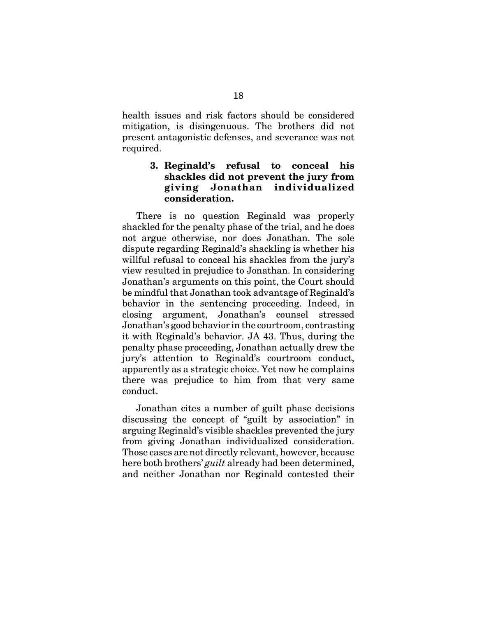health issues and risk factors should be considered mitigation, is disingenuous. The brothers did not present antagonistic defenses, and severance was not required.

## **3. Reginald's refusal to conceal his shackles did not prevent the jury from giving Jonathan individualized consideration.**

There is no question Reginald was properly shackled for the penalty phase of the trial, and he does not argue otherwise, nor does Jonathan. The sole dispute regarding Reginald's shackling is whether his willful refusal to conceal his shackles from the jury's view resulted in prejudice to Jonathan. In considering Jonathan's arguments on this point, the Court should be mindful that Jonathan took advantage of Reginald's behavior in the sentencing proceeding. Indeed, in closing argument, Jonathan's counsel stressed Jonathan's good behavior in the courtroom, contrasting it with Reginald's behavior. JA 43. Thus, during the penalty phase proceeding, Jonathan actually drew the jury's attention to Reginald's courtroom conduct, apparently as a strategic choice. Yet now he complains there was prejudice to him from that very same conduct.

Jonathan cites a number of guilt phase decisions discussing the concept of "guilt by association" in arguing Reginald's visible shackles prevented the jury from giving Jonathan individualized consideration. Those cases are not directly relevant, however, because here both brothers' *guilt* already had been determined, and neither Jonathan nor Reginald contested their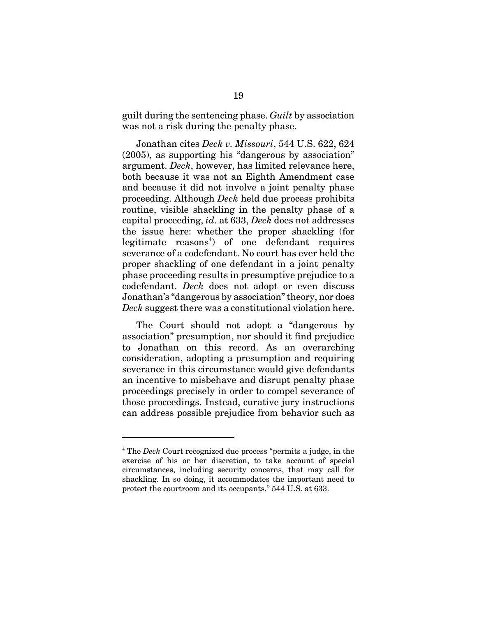guilt during the sentencing phase. *Guilt* by association was not a risk during the penalty phase.

Jonathan cites *Deck v. Missouri*, 544 U.S. 622, 624 (2005), as supporting his "dangerous by association" argument. *Deck*, however, has limited relevance here, both because it was not an Eighth Amendment case and because it did not involve a joint penalty phase proceeding. Although *Deck* held due process prohibits routine, visible shackling in the penalty phase of a capital proceeding, *id*. at 633, *Deck* does not addresses the issue here: whether the proper shackling (for  $legitimate$   $reasons<sup>4</sup>$  of one defendant requires severance of a codefendant. No court has ever held the proper shackling of one defendant in a joint penalty phase proceeding results in presumptive prejudice to a codefendant. *Deck* does not adopt or even discuss Jonathan's "dangerous by association" theory, nor does *Deck* suggest there was a constitutional violation here.

The Court should not adopt a "dangerous by association" presumption, nor should it find prejudice to Jonathan on this record. As an overarching consideration, adopting a presumption and requiring severance in this circumstance would give defendants an incentive to misbehave and disrupt penalty phase proceedings precisely in order to compel severance of those proceedings. Instead, curative jury instructions can address possible prejudice from behavior such as

<sup>4</sup> The *Deck* Court recognized due process "permits a judge, in the exercise of his or her discretion, to take account of special circumstances, including security concerns, that may call for shackling. In so doing, it accommodates the important need to protect the courtroom and its occupants." 544 U.S. at 633.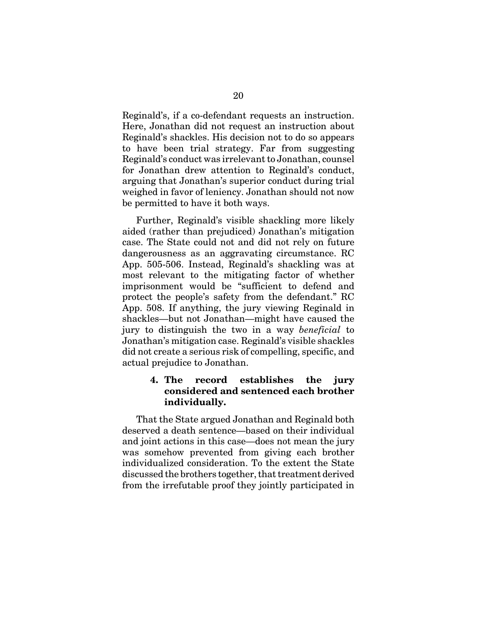Reginald's, if a co-defendant requests an instruction. Here, Jonathan did not request an instruction about Reginald's shackles. His decision not to do so appears to have been trial strategy. Far from suggesting Reginald's conduct was irrelevant to Jonathan, counsel for Jonathan drew attention to Reginald's conduct, arguing that Jonathan's superior conduct during trial weighed in favor of leniency. Jonathan should not now be permitted to have it both ways.

Further, Reginald's visible shackling more likely aided (rather than prejudiced) Jonathan's mitigation case. The State could not and did not rely on future dangerousness as an aggravating circumstance. RC App. 505-506. Instead, Reginald's shackling was at most relevant to the mitigating factor of whether imprisonment would be "sufficient to defend and protect the people's safety from the defendant." RC App. 508. If anything, the jury viewing Reginald in shackles—but not Jonathan—might have caused the jury to distinguish the two in a way *beneficial* to Jonathan's mitigation case. Reginald's visible shackles did not create a serious risk of compelling, specific, and actual prejudice to Jonathan.

## **4. The record establishes the jury considered and sentenced each brother individually.**

That the State argued Jonathan and Reginald both deserved a death sentence—based on their individual and joint actions in this case—does not mean the jury was somehow prevented from giving each brother individualized consideration. To the extent the State discussed the brothers together, that treatment derived from the irrefutable proof they jointly participated in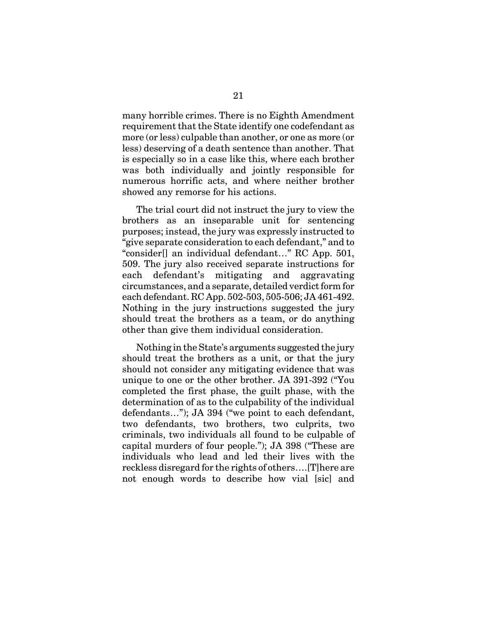many horrible crimes. There is no Eighth Amendment requirement that the State identify one codefendant as more (or less) culpable than another, or one as more (or less) deserving of a death sentence than another. That is especially so in a case like this, where each brother was both individually and jointly responsible for numerous horrific acts, and where neither brother showed any remorse for his actions.

The trial court did not instruct the jury to view the brothers as an inseparable unit for sentencing purposes; instead, the jury was expressly instructed to "give separate consideration to each defendant," and to "consider[] an individual defendant…" RC App. 501, 509. The jury also received separate instructions for each defendant's mitigating and aggravating circumstances, and a separate, detailed verdict form for each defendant. RC App. 502-503, 505-506; JA 461-492. Nothing in the jury instructions suggested the jury should treat the brothers as a team, or do anything other than give them individual consideration.

Nothing in the State's arguments suggested the jury should treat the brothers as a unit, or that the jury should not consider any mitigating evidence that was unique to one or the other brother. JA 391-392 ("You completed the first phase, the guilt phase, with the determination of as to the culpability of the individual defendants…"); JA 394 ("we point to each defendant, two defendants, two brothers, two culprits, two criminals, two individuals all found to be culpable of capital murders of four people."); JA 398 ("These are individuals who lead and led their lives with the reckless disregard for the rights of others….[T]here are not enough words to describe how vial [sic] and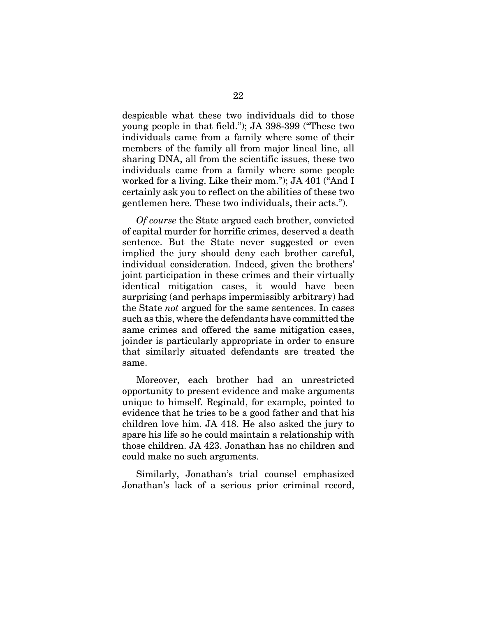despicable what these two individuals did to those young people in that field."); JA 398-399 ("These two individuals came from a family where some of their members of the family all from major lineal line, all sharing DNA, all from the scientific issues, these two individuals came from a family where some people worked for a living. Like their mom."); JA 401 ("And I certainly ask you to reflect on the abilities of these two gentlemen here. These two individuals, their acts.").

*Of course* the State argued each brother, convicted of capital murder for horrific crimes, deserved a death sentence. But the State never suggested or even implied the jury should deny each brother careful, individual consideration. Indeed, given the brothers' joint participation in these crimes and their virtually identical mitigation cases, it would have been surprising (and perhaps impermissibly arbitrary) had the State *not* argued for the same sentences. In cases such as this, where the defendants have committed the same crimes and offered the same mitigation cases, joinder is particularly appropriate in order to ensure that similarly situated defendants are treated the same.

Moreover, each brother had an unrestricted opportunity to present evidence and make arguments unique to himself. Reginald, for example, pointed to evidence that he tries to be a good father and that his children love him. JA 418. He also asked the jury to spare his life so he could maintain a relationship with those children. JA 423. Jonathan has no children and could make no such arguments.

Similarly, Jonathan's trial counsel emphasized Jonathan's lack of a serious prior criminal record,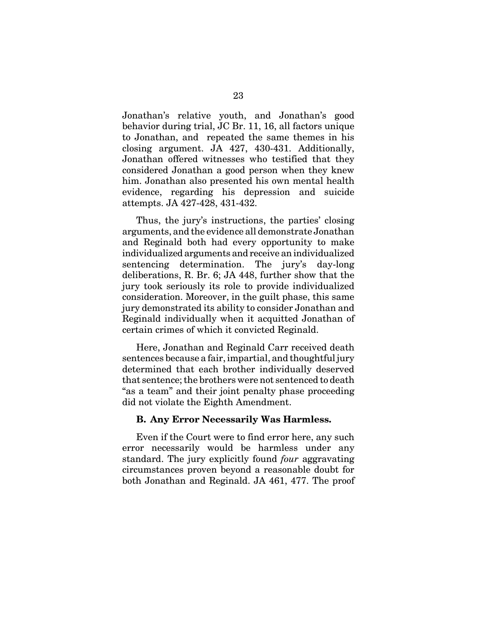Jonathan's relative youth, and Jonathan's good behavior during trial, JC Br. 11, 16, all factors unique to Jonathan, and repeated the same themes in his closing argument. JA 427, 430-431. Additionally, Jonathan offered witnesses who testified that they considered Jonathan a good person when they knew him. Jonathan also presented his own mental health evidence, regarding his depression and suicide attempts. JA 427-428, 431-432.

Thus, the jury's instructions, the parties' closing arguments, and the evidence all demonstrate Jonathan and Reginald both had every opportunity to make individualized arguments and receive an individualized sentencing determination. The jury's day-long deliberations, R. Br. 6; JA 448, further show that the jury took seriously its role to provide individualized consideration. Moreover, in the guilt phase, this same jury demonstrated its ability to consider Jonathan and Reginald individually when it acquitted Jonathan of certain crimes of which it convicted Reginald.

Here, Jonathan and Reginald Carr received death sentences because a fair, impartial, and thoughtful jury determined that each brother individually deserved that sentence; the brothers were not sentenced to death "as a team" and their joint penalty phase proceeding did not violate the Eighth Amendment.

#### **B. Any Error Necessarily Was Harmless.**

Even if the Court were to find error here, any such error necessarily would be harmless under any standard. The jury explicitly found *four* aggravating circumstances proven beyond a reasonable doubt for both Jonathan and Reginald. JA 461, 477. The proof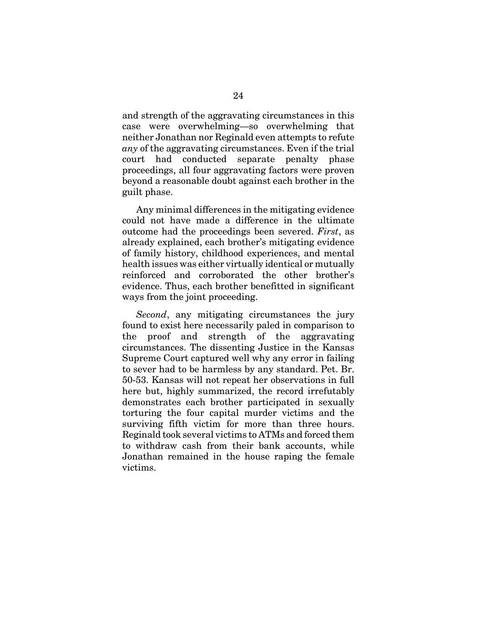and strength of the aggravating circumstances in this case were overwhelming—so overwhelming that neither Jonathan nor Reginald even attempts to refute *any* of the aggravating circumstances. Even if the trial court had conducted separate penalty phase proceedings, all four aggravating factors were proven beyond a reasonable doubt against each brother in the guilt phase.

Any minimal differences in the mitigating evidence could not have made a difference in the ultimate outcome had the proceedings been severed. *First*, as already explained, each brother's mitigating evidence of family history, childhood experiences, and mental health issues was either virtually identical or mutually reinforced and corroborated the other brother's evidence. Thus, each brother benefitted in significant ways from the joint proceeding.

*Second*, any mitigating circumstances the jury found to exist here necessarily paled in comparison to the proof and strength of the aggravating circumstances. The dissenting Justice in the Kansas Supreme Court captured well why any error in failing to sever had to be harmless by any standard. Pet. Br. 50-53. Kansas will not repeat her observations in full here but, highly summarized, the record irrefutably demonstrates each brother participated in sexually torturing the four capital murder victims and the surviving fifth victim for more than three hours. Reginald took several victims to ATMs and forced them to withdraw cash from their bank accounts, while Jonathan remained in the house raping the female victims.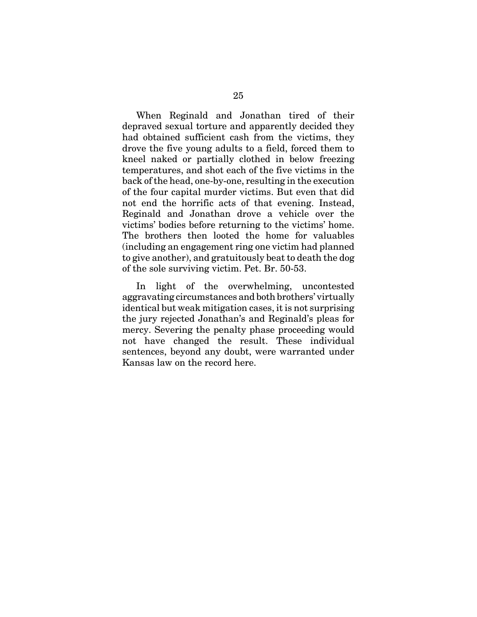When Reginald and Jonathan tired of their depraved sexual torture and apparently decided they had obtained sufficient cash from the victims, they drove the five young adults to a field, forced them to kneel naked or partially clothed in below freezing temperatures, and shot each of the five victims in the back of the head, one-by-one, resulting in the execution of the four capital murder victims. But even that did not end the horrific acts of that evening. Instead, Reginald and Jonathan drove a vehicle over the victims' bodies before returning to the victims' home. The brothers then looted the home for valuables (including an engagement ring one victim had planned to give another), and gratuitously beat to death the dog of the sole surviving victim. Pet. Br. 50-53.

In light of the overwhelming, uncontested aggravating circumstances and both brothers' virtually identical but weak mitigation cases, it is not surprising the jury rejected Jonathan's and Reginald's pleas for mercy. Severing the penalty phase proceeding would not have changed the result. These individual sentences, beyond any doubt, were warranted under Kansas law on the record here.